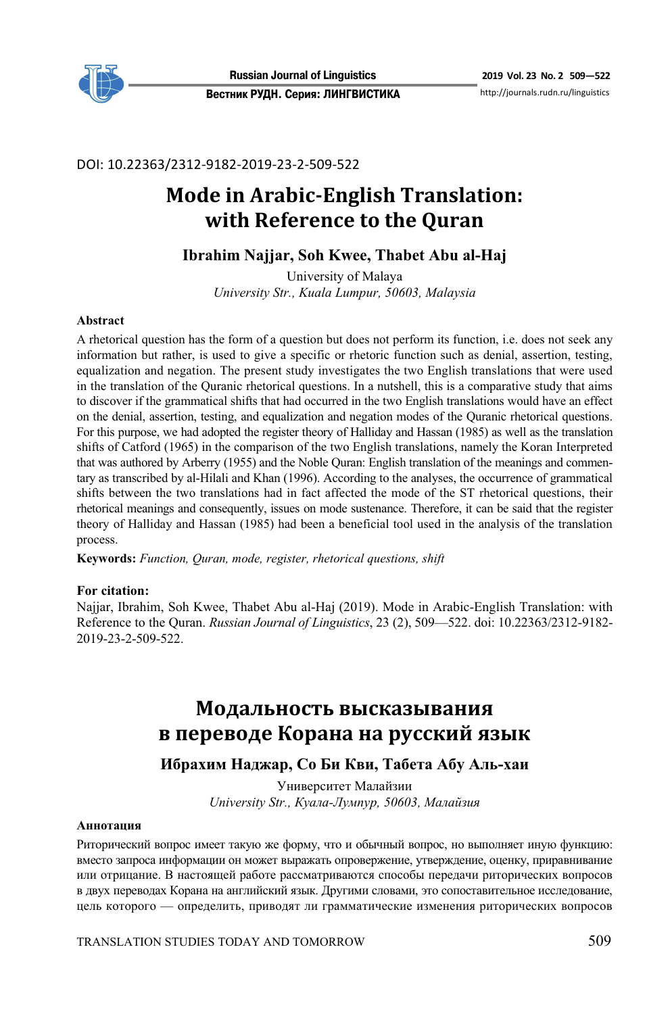

DOI: 10.22363/2312-9182-2019-23-2-509-522

# **Mode in Arabic-English Translation: with Reference to the Quran**

# **Ibrahim Najjar, Soh Kwee, Thabet Abu al-Haj**

University of Malaya *University Str., Kuala Lumpur, 50603, Malaysia* 

#### **Abstract**

A rhetorical question has the form of a question but does not perform its function, i.e. does not seek any information but rather, is used to give a specific or rhetoric function such as denial, assertion, testing, equalization and negation. The present study investigates the two English translations that were used in the translation of the Quranic rhetorical questions. In a nutshell, this is a comparative study that aims to discover if the grammatical shifts that had occurred in the two English translations would have an effect on the denial, assertion, testing, and equalization and negation modes of the Quranic rhetorical questions. For this purpose, we had adopted the register theory of Halliday and Hassan (1985) as well as the translation shifts of Catford (1965) in the comparison of the two English translations, namely the Koran Interpreted that was authored by Arberry (1955) and the Noble Quran: English translation of the meanings and commentary as transcribed by al-Hilali and Khan (1996). According to the analyses, the occurrence of grammatical shifts between the two translations had in fact affected the mode of the ST rhetorical questions, their rhetorical meanings and consequently, issues on mode sustenance. Therefore, it can be said that the register theory of Halliday and Hassan (1985) had been a beneficial tool used in the analysis of the translation process.

**Keywords:** *Function, Quran, mode, register, rhetorical questions, shift*

#### **For citation:**

Najjar, Ibrahim, Soh Kwee, Thabet Abu al-Haj (2019). Mode in Arabic-English Translation: with Reference to the Quran. *Russian Journal of Linguistics*, 23 (2), 509—522. doi: 10.22363/2312-9182- 2019-23-2-509-522.

# **Модальность высказывания в переводе Корана на русский язык**

# **Ибрахим Наджар, Со Би Кви, Табета Абу Аль-хаи**

Университет Малайзии *University Str., Куала-Лумпур, 50603, Малайзия* 

#### **Аннотация**

Риторический вопрос имеет такую же форму, что и обычный вопрос, но выполняет иную функцию: вместо запроса информации он может выражать опровержение, утверждение, оценку, приравнивание или отрицание. В настоящей работе рассматриваются способы передачи риторических вопросов в двух переводах Корана на английский язык. Другими словами, это сопоставительное исследование, цель которого — определить, приводят ли грамматические изменения риторических вопросов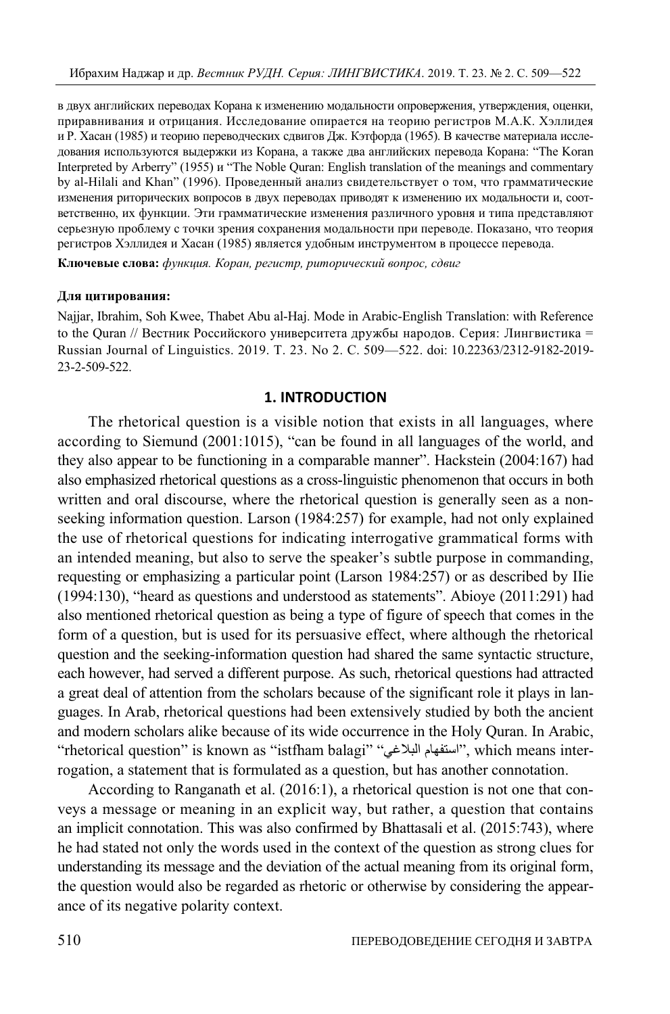в двух английских переводах Корана к изменению модальности опровержения, утверждения, оценки, приравнивания и отрицания. Исследование опирается на теорию регистров М.А.К. Хэллидея и Р. Хасан (1985) и теорию переводческих сдвигов Дж. Кэтфорда (1965). В качестве материала исследования используются выдержки из Корана, а также два английских перевода Корана: "The Koran Interpreted by Arberry" (1955) и "The Noble Quran: English translation of the meanings and commentary by al-Hilali and Khan" (1996). Проведенный анализ свидетельствует о том, что грамматические изменения риторических вопросов в двух переводах приводят к изменению их модальности и, соответственно, их функции. Эти грамматические изменения различного уровня и типа представляют серьезную проблему с точки зрения сохранения модальности при переводе. Показано, что теория регистров Хэллидея и Хасан (1985) является удобным инструментом в процессе перевода.

**Ключевые слова:** *функция. Коран, регистр, риторический вопрос, сдвиг* 

#### **Для цитирования:**

Najjar, Ibrahim, Soh Kwee, Thabet Abu al-Haj. Mode in Arabic-English Translation: with Reference to the Quran // Вестник Российского университета дружбы народов. Серия: Лингвистика = Russian Journal of Linguistics. 2019. Т. 23. No 2. С. 509—522. doi: 10.22363/2312-9182-2019- 23-2-509-522.

## **1. INTRODUCTION**

The rhetorical question is a visible notion that exists in all languages, where according to Siemund (2001:1015), "can be found in all languages of the world, and they also appear to be functioning in a comparable manner". Hackstein (2004:167) had also emphasized rhetorical questions as a cross-linguistic phenomenon that occurs in both written and oral discourse, where the rhetorical question is generally seen as a nonseeking information question. Larson (1984:257) for example, had not only explained the use of rhetorical questions for indicating interrogative grammatical forms with an intended meaning, but also to serve the speaker's subtle purpose in commanding, requesting or emphasizing a particular point (Larson 1984:257) or as described by IIie (1994:130), "heard as questions and understood as statements". Abioye (2011:291) had also mentioned rhetorical question as being a type of figure of speech that comes in the form of a question, but is used for its persuasive effect, where although the rhetorical question and the seeking-information question had shared the same syntactic structure, each however, had served a different purpose. As such, rhetorical questions had attracted a great deal of attention from the scholars because of the significant role it plays in languages. In Arab, rhetorical questions had been extensively studied by both the ancient and modern scholars alike because of its wide occurrence in the Holy Quran. In Arabic, "rhetorical question" is known as "istfham balagi" "استفهام البلاغي" , which means interrogation, a statement that is formulated as a question, but has another connotation.

According to Ranganath et al. (2016:1), a rhetorical question is not one that conveys a message or meaning in an explicit way, but rather, a question that contains an implicit connotation. This was also confirmed by Bhattasali et al. (2015:743), where he had stated not only the words used in the context of the question as strong clues for understanding its message and the deviation of the actual meaning from its original form, the question would also be regarded as rhetoric or otherwise by considering the appearance of its negative polarity context.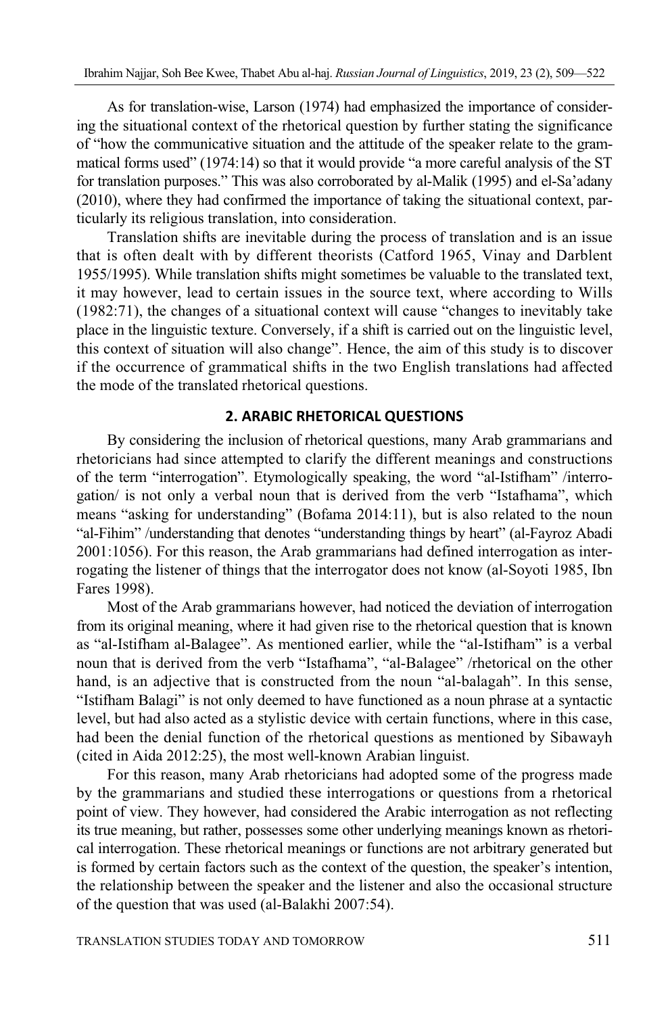As for translation-wise, Larson (1974) had emphasized the importance of considering the situational context of the rhetorical question by further stating the significance of "how the communicative situation and the attitude of the speaker relate to the grammatical forms used" (1974:14) so that it would provide "a more careful analysis of the ST for translation purposes." This was also corroborated by al-Malik (1995) and el-Sa'adany (2010), where they had confirmed the importance of taking the situational context, particularly its religious translation, into consideration.

Translation shifts are inevitable during the process of translation and is an issue that is often dealt with by different theorists (Catford 1965, Vinay and Darblent 1955/1995). While translation shifts might sometimes be valuable to the translated text, it may however, lead to certain issues in the source text, where according to Wills (1982:71), the changes of a situational context will cause "changes to inevitably take place in the linguistic texture. Conversely, if a shift is carried out on the linguistic level, this context of situation will also change". Hence, the aim of this study is to discover if the occurrence of grammatical shifts in the two English translations had affected the mode of the translated rhetorical questions.

## **2. ARABIC RHETORICAL QUESTIONS**

By considering the inclusion of rhetorical questions, many Arab grammarians and rhetoricians had since attempted to clarify the different meanings and constructions of the term "interrogation". Etymologically speaking, the word "al-Istifham" /interrogation/ is not only a verbal noun that is derived from the verb "Istafhama", which means "asking for understanding" (Bofama 2014:11), but is also related to the noun "al-Fihim" /understanding that denotes "understanding things by heart" (al-Fayroz Abadi 2001:1056). For this reason, the Arab grammarians had defined interrogation as interrogating the listener of things that the interrogator does not know (al-Soyoti 1985, Ibn Fares 1998).

Most of the Arab grammarians however, had noticed the deviation of interrogation from its original meaning, where it had given rise to the rhetorical question that is known as "al-Istifham al-Balagee". As mentioned earlier, while the "al-Istifham" is a verbal noun that is derived from the verb "Istafhama", "al-Balagee" /rhetorical on the other hand, is an adjective that is constructed from the noun "al-balagah". In this sense, "Istifham Balagi" is not only deemed to have functioned as a noun phrase at a syntactic level, but had also acted as a stylistic device with certain functions, where in this case, had been the denial function of the rhetorical questions as mentioned by Sibawayh (cited in Aida 2012:25), the most well-known Arabian linguist.

For this reason, many Arab rhetoricians had adopted some of the progress made by the grammarians and studied these interrogations or questions from a rhetorical point of view. They however, had considered the Arabic interrogation as not reflecting its true meaning, but rather, possesses some other underlying meanings known as rhetorical interrogation. These rhetorical meanings or functions are not arbitrary generated but is formed by certain factors such as the context of the question, the speaker's intention, the relationship between the speaker and the listener and also the occasional structure of the question that was used (al-Balakhi 2007:54).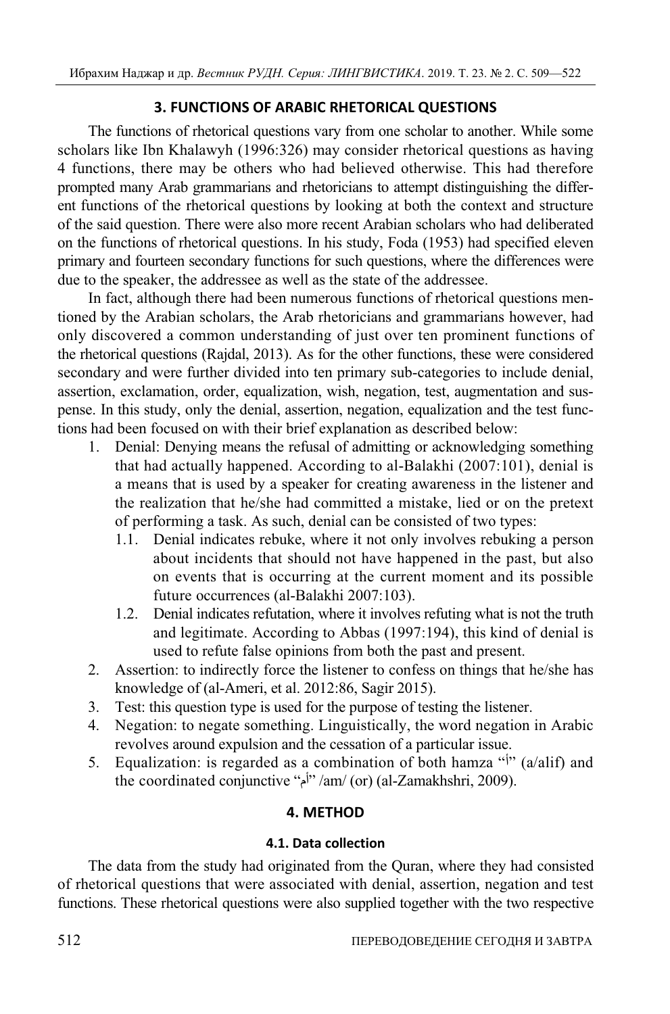# **3. FUNCTIONS OF ARABIC RHETORICAL QUESTIONS**

The functions of rhetorical questions vary from one scholar to another. While some scholars like Ibn Khalawyh (1996:326) may consider rhetorical questions as having 4 functions, there may be others who had believed otherwise. This had therefore prompted many Arab grammarians and rhetoricians to attempt distinguishing the different functions of the rhetorical questions by looking at both the context and structure of the said question. There were also more recent Arabian scholars who had deliberated on the functions of rhetorical questions. In his study, Foda (1953) had specified eleven primary and fourteen secondary functions for such questions, where the differences were due to the speaker, the addressee as well as the state of the addressee.

In fact, although there had been numerous functions of rhetorical questions mentioned by the Arabian scholars, the Arab rhetoricians and grammarians however, had only discovered a common understanding of just over ten prominent functions of the rhetorical questions (Rajdal, 2013). As for the other functions, these were considered secondary and were further divided into ten primary sub-categories to include denial, assertion, exclamation, order, equalization, wish, negation, test, augmentation and suspense. In this study, only the denial, assertion, negation, equalization and the test functions had been focused on with their brief explanation as described below:

- 1. Denial: Denying means the refusal of admitting or acknowledging something that had actually happened. According to al-Balakhi (2007:101), denial is a means that is used by a speaker for creating awareness in the listener and the realization that he/she had committed a mistake, lied or on the pretext of performing a task. As such, denial can be consisted of two types:
	- 1.1. Denial indicates rebuke, where it not only involves rebuking a person about incidents that should not have happened in the past, but also on events that is occurring at the current moment and its possible future occurrences (al-Balakhi 2007:103).
	- 1.2. Denial indicates refutation, where it involves refuting what is not the truth and legitimate. According to Abbas (1997:194), this kind of denial is used to refute false opinions from both the past and present.
- 2. Assertion: to indirectly force the listener to confess on things that he/she has knowledge of (al-Ameri, et al. 2012:86, Sagir 2015).
- 3. Test: this question type is used for the purpose of testing the listener.
- 4. Negation: to negate something. Linguistically, the word negation in Arabic revolves around expulsion and the cessation of a particular issue.
- 5. Equalization: is regarded as a combination of both hamza " $\mathfrak{p}$ " (a/alif) and the coordinated conjunctive "أم"/am/ (or) (al-Zamakhshri, 2009).

# **4. METHOD**

# **4.1. Data collection**

The data from the study had originated from the Quran, where they had consisted of rhetorical questions that were associated with denial, assertion, negation and test functions. These rhetorical questions were also supplied together with the two respective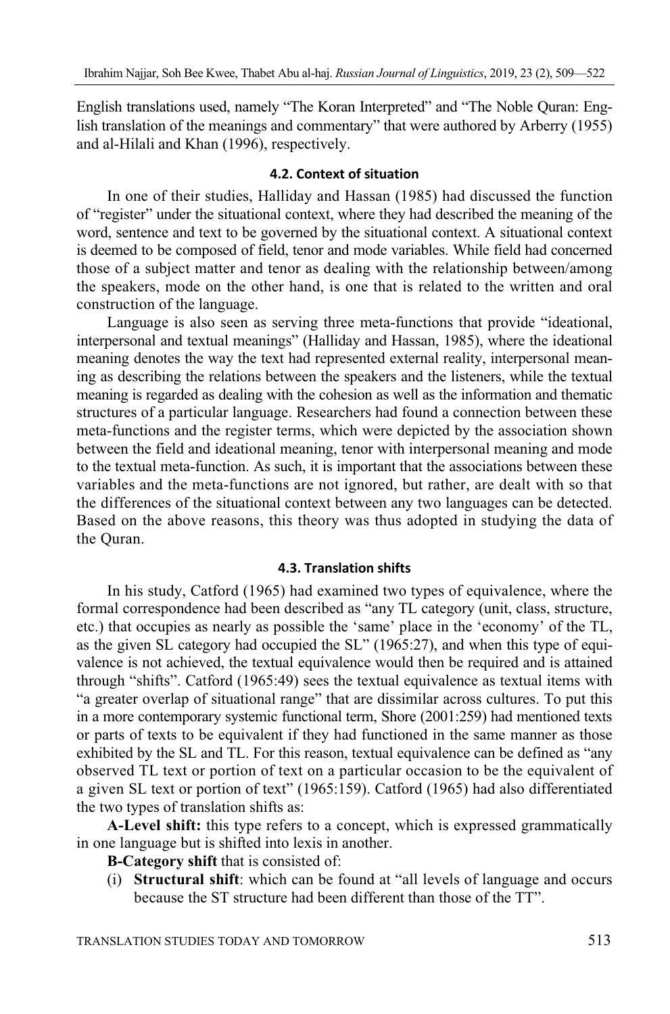English translations used, namely "The Koran Interpreted" and "The Noble Quran: English translation of the meanings and commentary" that were authored by Arberry (1955) and al-Hilali and Khan (1996), respectively.

### **4.2. Context of situation**

In one of their studies, Halliday and Hassan (1985) had discussed the function of "register" under the situational context, where they had described the meaning of the word, sentence and text to be governed by the situational context. A situational context is deemed to be composed of field, tenor and mode variables. While field had concerned those of a subject matter and tenor as dealing with the relationship between/among the speakers, mode on the other hand, is one that is related to the written and oral construction of the language.

Language is also seen as serving three meta-functions that provide "ideational, interpersonal and textual meanings" (Halliday and Hassan, 1985), where the ideational meaning denotes the way the text had represented external reality, interpersonal meaning as describing the relations between the speakers and the listeners, while the textual meaning is regarded as dealing with the cohesion as well as the information and thematic structures of a particular language. Researchers had found a connection between these meta-functions and the register terms, which were depicted by the association shown between the field and ideational meaning, tenor with interpersonal meaning and mode to the textual meta-function. As such, it is important that the associations between these variables and the meta-functions are not ignored, but rather, are dealt with so that the differences of the situational context between any two languages can be detected. Based on the above reasons, this theory was thus adopted in studying the data of the Quran.

#### **4.3. Translation shifts**

In his study, Catford (1965) had examined two types of equivalence, where the formal correspondence had been described as "any TL category (unit, class, structure, etc.) that occupies as nearly as possible the 'same' place in the 'economy' of the TL, as the given SL category had occupied the SL" (1965:27), and when this type of equivalence is not achieved, the textual equivalence would then be required and is attained through "shifts". Catford (1965:49) sees the textual equivalence as textual items with "a greater overlap of situational range" that are dissimilar across cultures. To put this in a more contemporary systemic functional term, Shore (2001:259) had mentioned texts or parts of texts to be equivalent if they had functioned in the same manner as those exhibited by the SL and TL. For this reason, textual equivalence can be defined as "any observed TL text or portion of text on a particular occasion to be the equivalent of a given SL text or portion of text" (1965:159). Catford (1965) had also differentiated the two types of translation shifts as:

**A-Level shift:** this type refers to a concept, which is expressed grammatically in one language but is shifted into lexis in another.

- **B-Category shift** that is consisted of:
- (i) **Structural shift**: which can be found at "all levels of language and occurs because the ST structure had been different than those of the TT".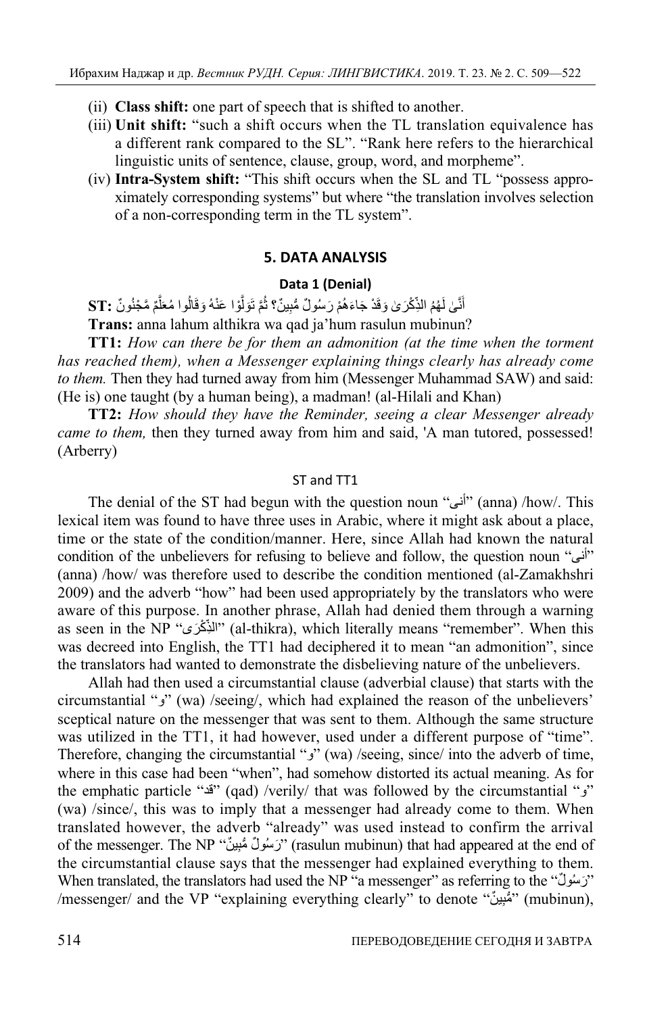- (ii) **Class shift:** one part of speech that is shifted to another.
- (iii) **Unit shift:** "such a shift occurs when the TL translation equivalence has a different rank compared to the SL". "Rank here refers to the hierarchical linguistic units of sentence, clause, group, word, and morpheme".
- (iv) **Intra-System shift:** "This shift occurs when the SL and TL "possess approximately corresponding systems" but where "the translation involves selection of a non-corresponding term in the TL system".

### **5. DATA ANALYSIS**

#### **Data 1 (Denial)**

أَنَّىٰ لَهُمُ الذِّكْرَ *يٰ* وَقَدْ جَاءَهُمْ رَسُولٌ مُّبِينٌ؟ ثُمَّ تَوَلَّوْا عَنْهُ وَقَالُوا مُعَلَّمٌ مَّجْنُونٌ :ST َّ  $\overline{1}$ ِّ أ َّ ُ َّ֧֖֚֚֚֝<br>֧֚֚֝ َ

**Trans:** anna lahum althikra wa qad ja'hum rasulun mubinun?

**TT1:** *How can there be for them an admonition (at the time when the torment has reached them), when a Messenger explaining things clearly has already come to them.* Then they had turned away from him (Messenger Muhammad SAW) and said: (He is) one taught (by a human being), a madman! (al-Hilali and Khan)

**TT2:** *How should they have the Reminder, seeing a clear Messenger already came to them,* then they turned away from him and said, 'A man tutored, possessed! (Arberry)

### ST and TT1

The denial of the ST had begun with the question noun "أنى)" (anna) /how/. This lexical item was found to have three uses in Arabic, where it might ask about a place, time or the state of the condition/manner. Here, since Allah had known the natural condition of the unbelievers for refusing to believe and follow, the question noun " $i\omega$ " (anna) /how/ was therefore used to describe the condition mentioned (al-Zamakhshri 2009) and the adverb "how" had been used appropriately by the translators who were aware of this purpose. In another phrase, Allah had denied them through a warning as seen in the NP "الذِّكْرَى" (al-thikra), which literally means "remember". When this ֧֖֖֧֢ׅ֚֚֚֚֚֚֚֚֚֚֚֚֚֚֚֚֚֚֚֚֚֚֚֚֚֚֝֓֓֡֞<br>֧ׅ֜֡֟ was decreed into English, the TT1 had deciphered it to mean "an admonition", since the translators had wanted to demonstrate the disbelieving nature of the unbelievers.

Allah had then used a circumstantial clause (adverbial clause) that starts with the circumstantial " $\epsilon$ " (wa) /seeing/, which had explained the reason of the unbelievers' sceptical nature on the messenger that was sent to them. Although the same structure was utilized in the TT1, it had however, used under a different purpose of "time". Therefore, changing the circumstantial " $\chi$ " (wa) /seeing, since/ into the adverb of time, where in this case had been "when", had somehow distorted its actual meaning. As for the emphatic particle "قد) "qad) /verily/ that was followed by the circumstantial "و " (wa) /since/, this was to imply that a messenger had already come to them. When translated however, the adverb "already" was used instead to confirm the arrival of the messenger. The NP "رَسُولٌ مُّبِينٌ" (rasulun mubinun) that had appeared at the end of the circumstantial clause says that the messenger had explained everything to them. When translated, the translators had used the NP "a messenger" as referring to the " $\gamma$ " /messenger/ and the VP "explaining everything clearly" to denote "مُّنِينٌ" (mubinun),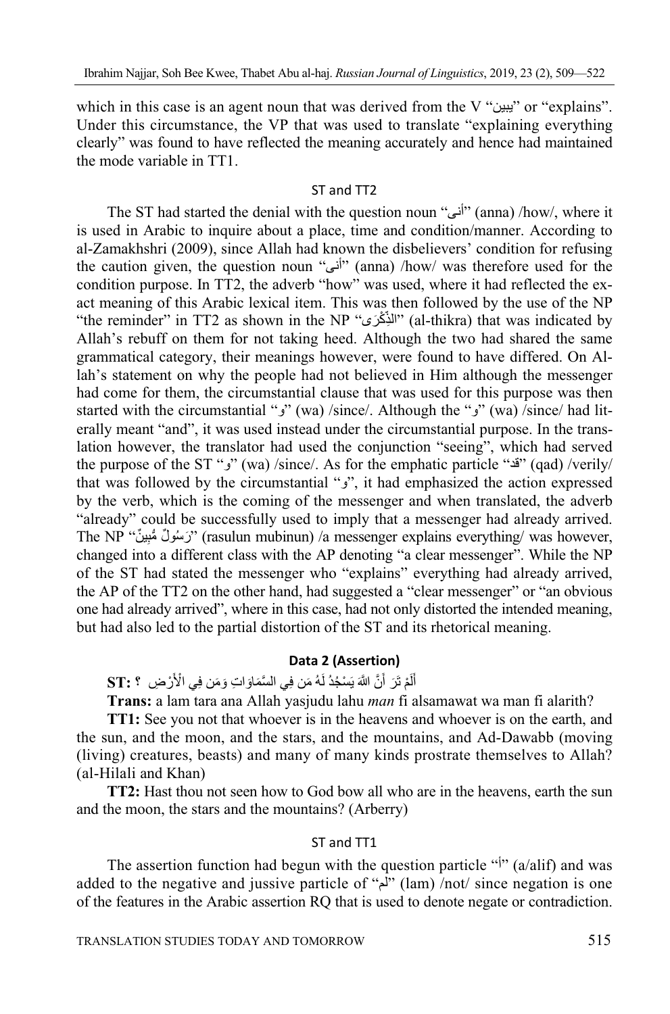which in this case is an agent noun that was derived from the V "يبين" or "explains". Under this circumstance, the VP that was used to translate "explaining everything clearly" was found to have reflected the meaning accurately and hence had maintained the mode variable in TT1.

### ST and TT2

The ST had started the denial with the question noun "أنى) "anna) /how/, where it is used in Arabic to inquire about a place, time and condition/manner. According to al-Zamakhshri (2009), since Allah had known the disbelievers' condition for refusing the caution given, the question noun "أنى) (anna) /how/ was therefore used for the condition purpose. In TT2, the adverb "how" was used, where it had reflected the exact meaning of this Arabic lexical item. This was then followed by the use of the NP "the reminder" in TT2 as shown in the NP "الذِّكْرَى" (al-thikra) that was indicated by ֧֖֚֚֚֝<br>֚֚֚ Allah's rebuff on them for not taking heed. Although the two had shared the same grammatical category, their meanings however, were found to have differed. On Allah's statement on why the people had not believed in Him although the messenger had come for them, the circumstantial clause that was used for this purpose was then started with the circumstantial " $y$ " (wa) /since/. Although the " $y$ " (wa) /since/ had literally meant "and", it was used instead under the circumstantial purpose. In the translation however, the translator had used the conjunction "seeing", which had served the purpose of the ST " $\mathbf{s}'$ " (wa) /since/. As for the emphatic particle " $\mathbf{s}$ " (qad) /verily/ that was followed by the circumstantial "",", it had emphasized the action expressed by the verb, which is the coming of the messenger and when translated, the adverb "already" could be successfully used to imply that a messenger had already arrived. The NP '`رَسُولٌ مُّبِينٌ'' (rasulun mubinun) /a messenger explains everything/ was however, changed into a different class with the AP denoting "a clear messenger". While the NP of the ST had stated the messenger who "explains" everything had already arrived, the AP of the TT2 on the other hand, had suggested a "clear messenger" or "an obvious one had already arrived", where in this case, had not only distorted the intended meaning, but had also led to the partial distortion of the ST and its rhetorical meaning.

### **Data 2 (Assertion)**

**ٔ** أَلَمْ تَرَ أَنَّ اللَّهَ يَسْجُدُ لَـهُ مَن فِي الْسَّمَاوَ اتِ وَمَن فِي الْأَرْ ضِ ؟ ST: ? ََ

**Trans:** a lam tara ana Allah yasjudu lahu *man* fi alsamawat wa man fi alarith?

**TT1:** See you not that whoever is in the heavens and whoever is on the earth, and the sun, and the moon, and the stars, and the mountains, and Ad-Dawabb (moving (living) creatures, beasts) and many of many kinds prostrate themselves to Allah? (al-Hilali and Khan)

**TT2:** Hast thou not seen how to God bow all who are in the heavens, earth the sun and the moon, the stars and the mountains? (Arberry)

### ST and TT1

The assertion function had begun with the question particle " $\vert$ " (a/alif) and was added to the negative and jussive particle of "لم" (lam) /not/ since negation is one of the features in the Arabic assertion RQ that is used to denote negate or contradiction.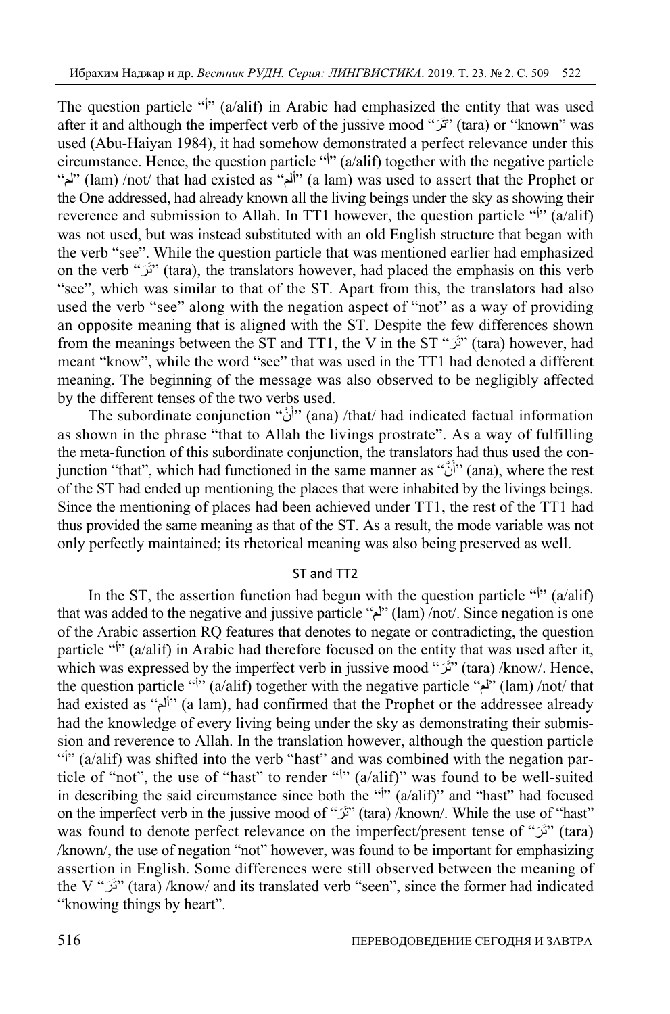The question particle " $\psi$ " (a/alif) in Arabic had emphasized the entity that was used after it and although the imperfect verb of the jussive mood " $\tilde{y}$ " (tara) or "known" was used (Abu-Haiyan 1984), it had somehow demonstrated a perfect relevance under this circumstance. Hence, the question particle " $\psi$ " (a/alif) together with the negative particle "لم) "lam) /not/ that had existed as "ألم) "a lam) was used to assert that the Prophet or the One addressed, had already known all the living beings under the sky as showing their reverence and submission to Allah. In TT1 however, the question particle " $\mathbf{N}$ " (a/alif) was not used, but was instead substituted with an old English structure that began with the verb "see". While the question particle that was mentioned earlier had emphasized on the verb "تَرَ" (tara), the translators however, had placed the emphasis on this verb "see", which was similar to that of the ST. Apart from this, the translators had also used the verb "see" along with the negation aspect of "not" as a way of providing an opposite meaning that is aligned with the ST. Despite the few differences shown from the meanings between the ST and TT1, the V in the ST  $\dddot{\mathbf{v}}$  (tara) however, had meant "know", while the word "see" that was used in the TT1 had denoted a different meaning. The beginning of the message was also observed to be negligibly affected by the different tenses of the two verbs used.

The subordinate conjunction "أَنَّ" (ana) /that/ had indicated factual information as shown in the phrase "that to Allah the livings prostrate". As a way of fulfilling the meta-function of this subordinate conjunction, the translators had thus used the conjunction "that", which had functioned in the same manner as "أَنَّ" (ana), where the rest of the ST had ended up mentioning the places that were inhabited by the livings beings. Since the mentioning of places had been achieved under TT1, the rest of the TT1 had thus provided the same meaning as that of the ST. As a result, the mode variable was not only perfectly maintained; its rhetorical meaning was also being preserved as well.

## ST and TT2

In the ST, the assertion function had begun with the question particle " $\mathbf{N}$ " (a/alif) that was added to the negative and jussive particle " $\mu$ " (lam) /not/. Since negation is one of the Arabic assertion RQ features that denotes to negate or contradicting, the question particle " $\frac{1}{2}$ " (a/alif) in Arabic had therefore focused on the entity that was used after it, which was expressed by the imperfect verb in jussive mood "تَرَ" (tara) /know/. Hence, the question particle " $\phi$ " (a/alif) together with the negative particle " $\phi$ " (lam) /not/ that had existed as "ألم" (a lam), had confirmed that the Prophet or the addressee already had the knowledge of every living being under the sky as demonstrating their submission and reverence to Allah. In the translation however, although the question particle " $\mathbf{N}$ " (a/alif) was shifted into the verb "hast" and was combined with the negation particle of "not", the use of "hast" to render " $\vert$ " (a/alif)" was found to be well-suited in describing the said circumstance since both the " $\frac{1}{2}$ " (a/alif)" and "hast" had focused on the imperfect verb in the jussive mood of " $\tilde{C}$ " (tara) /known/. While the use of "hast" was found to denote perfect relevance on the imperfect/present tense of "تَرَ" (tara) /known/, the use of negation "not" however, was found to be important for emphasizing assertion in English. Some differences were still observed between the meaning of the V "تَرَ" (tara) /know/ and its translated verb "seen", since the former had indicated "knowing things by heart".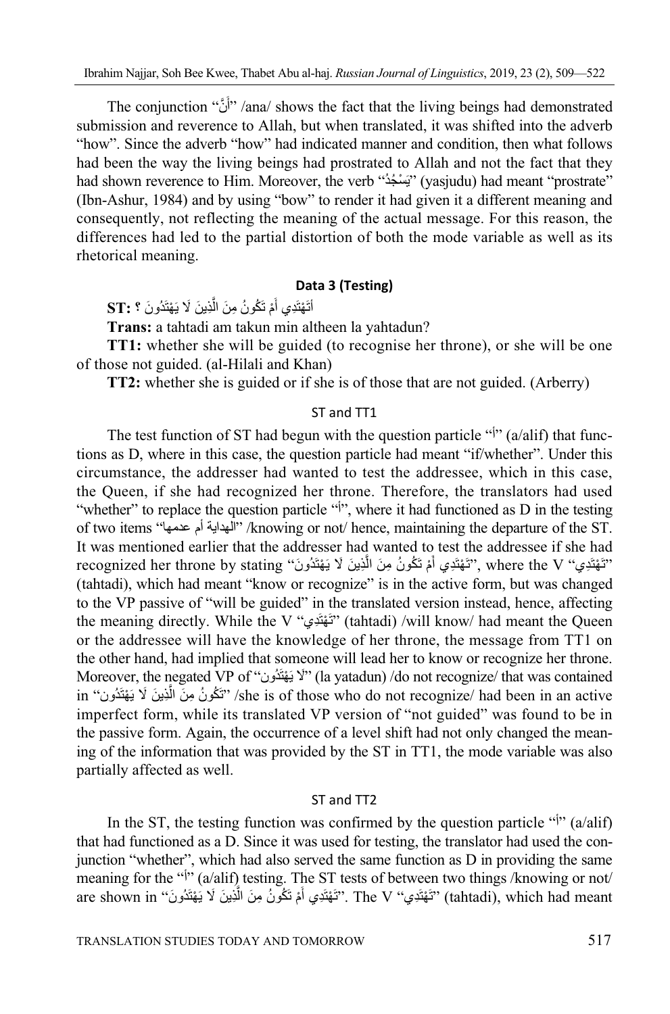The conjunction "أَنَّ" /ana/ shows the fact that the living beings had demonstrated submission and reverence to Allah, but when translated, it was shifted into the adverb "how". Since the adverb "how" had indicated manner and condition, then what follows had been the way the living beings had prostrated to Allah and not the fact that they had shown reverence to Him. Moreover, the verb ''يَسْخُدُ'' (yasjudu) had meant ''prostrate'' (Ibn-Ashur, 1984) and by using "bow" to render it had given it a different meaning and consequently, not reflecting the meaning of the actual message. For this reason, the differences had led to the partial distortion of both the mode variable as well as its rhetorical meaning.

## **Data 3 (Testing)**

أَتَهْتَدِي أَمْ تَكُونُ مِنَ الَّذِينَ لَا يَهْتَدُونَ **؟ :ST** ََّ

**Trans:** a tahtadi am takun min altheen la yahtadun?

**TT1:** whether she will be guided (to recognise her throne), or she will be one of those not guided. (al-Hilali and Khan)

**TT2:** whether she is guided or if she is of those that are not guided. (Arberry)

## ST and TT1

The test function of ST had begun with the question particle " $\frac{1}{2}$ " (a/alif) that functions as D, where in this case, the question particle had meant "if/whether". Under this circumstance, the addresser had wanted to test the addressee, which in this case, the Queen, if she had recognized her throne. Therefore, the translators had used "whether" to replace the question particle "i", where it had functioned as D in the testing of two items "الهداية أم عنمها" /knowing or not/ hence, maintaining the departure of the ST. It was mentioned earlier that the addresser had wanted to test the addressee if she had recognized her throne by stating "تَهْتَدِي: ٧ Tecognized her throne by stating" ) بِّقْتَدِي الْمَّ َ (tahtadi), which had meant "know or recognize" is in the active form, but was changed to the VP passive of "will be guided" in the translated version instead, hence, affecting the meaning directly. While the V "تَهْتَدِي" (tahtadi) /will know/ had meant the Queen or the addressee will have the knowledge of her throne, the message from TT1 on the other hand, had implied that someone will lead her to know or recognize her throne. Moreover, the negated VP of "لَا يَهْتَدُون" (la yatadun) /do not recognize/ that was contained in ''تَكُونُ مِنَ الَّذِينَ لا يَهْتَدُون'' she is of those who do not recognize/ had been in an active imperfect form, while its translated VP version of "not guided" was found to be in the passive form. Again, the occurrence of a level shift had not only changed the meaning of the information that was provided by the ST in TT1, the mode variable was also partially affected as well.

#### ST and TT2

In the ST, the testing function was confirmed by the question particle " $\vert$ " (a/alif) that had functioned as a D. Since it was used for testing, the translator had used the conjunction "whether", which had also served the same function as D in providing the same meaning for the "<sup> $\dagger$ </sup>" (a/alif) testing. The ST tests of between two things /knowing or not/ are shown in ''تَهْتَدِي'' (The V The V''تَهْتَدِي'' (tahtadi), which had meant َ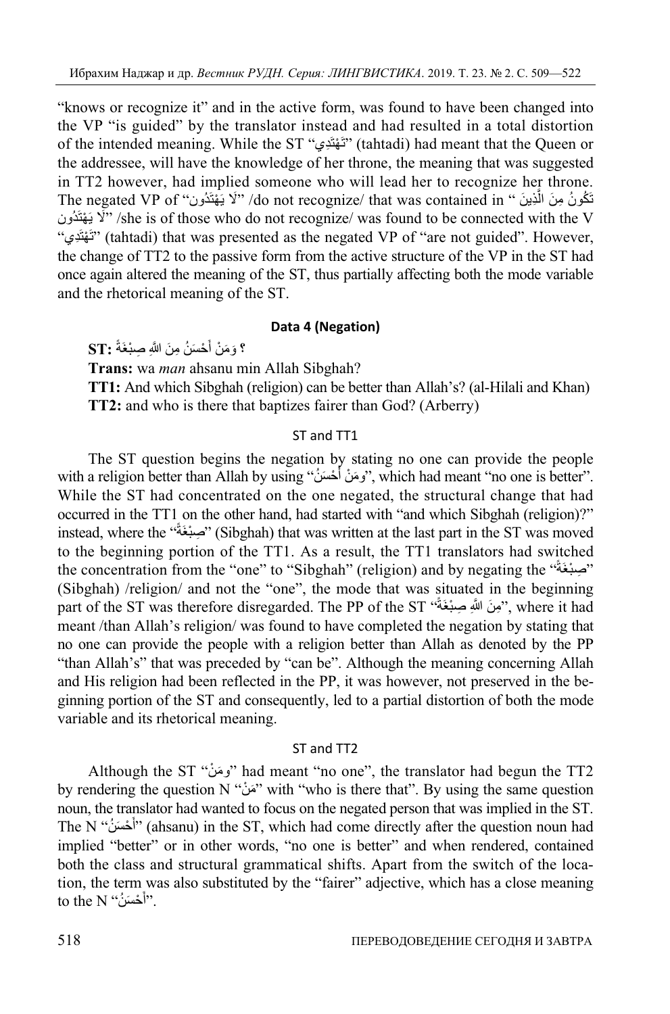"knows or recognize it" and in the active form, was found to have been changed into the VP "is guided" by the translator instead and had resulted in a total distortion of the intended meaning. While the ST "ديَِهتْ َت) "tahtadi) had meant that the Queen or the addressee, will have the knowledge of her throne, the meaning that was suggested in TT2 however, had implied someone who will lead her to recognize her throne. تَكُونُ مِنَ الَّذِينَ " do not recognize/ that was contained in/ "لَا يَهْتَدُون" The negated VP of لَا يَهْتَدُون $^{\prime\prime}$  /she is of those who do not recognize/ was found to be connected with the V "ديَِهتْ َت) "tahtadi) that was presented as the negated VP of "are not guided". However, the change of TT2 to the passive form from the active structure of the VP in the ST had once again altered the meaning of the ST, thus partially affecting both the mode variable and the rhetorical meaning of the ST.

#### **Data 4 (Negation)**

**؟** وَمَنْ أَحْسَنُ مِنَ اللَّهِ صِبْغَةً :ST َ

**Trans:** wa *man* ahsanu min Allah Sibghah?

**TT1:** And which Sibghah (religion) can be better than Allah's? (al-Hilali and Khan) **TT2:** and who is there that baptizes fairer than God? (Arberry)

## ST and TT1

The ST question begins the negation by stating no one can provide the people with a religion better than Allah by using ''وَمَنْ أَحْسَنُ'', which had meant ''no one is better''. While the ST had concentrated on the one negated, the structural change that had occurred in the TT1 on the other hand, had started with "and which Sibghah (religion)?" instead, where the "بَصِيْغَةً" (Sibghah) that was written at the last part in the ST was moved to the beginning portion of the TT1. As a result, the TT1 translators had switched the concentration from the "one" to "Sibghah" (religion) and by negating the "صَبْغَةً" (Sibghah) /religion/ and not the "one", the mode that was situated in the beginning part of the ST was therefore disregarded. The PP of the ST "بَونَ اللَّهِ صِبْغَةً" , where it had meant /than Allah's religion/ was found to have completed the negation by stating that no one can provide the people with a religion better than Allah as denoted by the PP "than Allah's" that was preceded by "can be". Although the meaning concerning Allah and His religion had been reflected in the PP, it was however, not preserved in the beginning portion of the ST and consequently, led to a partial distortion of both the mode variable and its rhetorical meaning.

#### ST and TT2

Although the ST "دَمَنْ" had meant "no one", the translator had begun the TT2 by rendering the question N "مَنْ" with "who is there that". By using the same question noun, the translator had wanted to focus on the negated person that was implied in the ST. َThe N "أَحْسَنُ" (ahsanu) in the ST, which had come directly after the question noun had implied "better" or in other words, "no one is better" and when rendered, contained both the class and structural grammatical shifts. Apart from the switch of the location, the term was also substituted by the "fairer" adjective, which has a close meaning َto the N ''أَحْسَنُ''.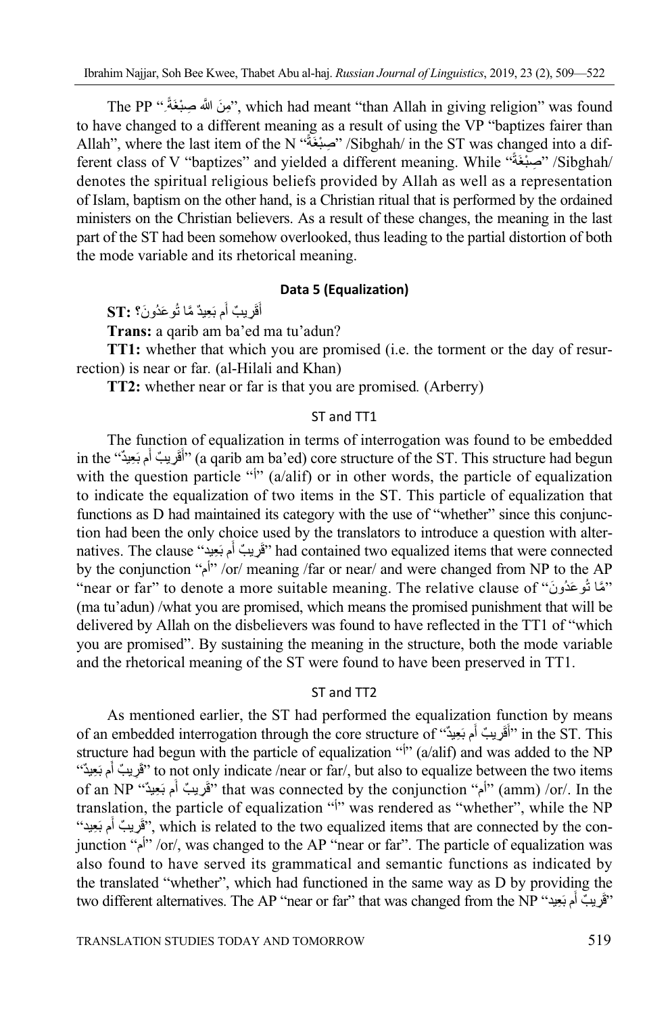The PP ''بِونَ اللَّهَ صِبنْغَةً '', which had meant ''than Allah in giving religion'' was found to have changed to a different meaning as a result of using the VP "baptizes fairer than Allah", where the last item of the N "ً ةَبغْصِ " /Sibghah/ in the ST was changed into a different class of V "baptizes" and yielded a different meaning. While "أَصِبْغَةُ" /Sibghah/ denotes the spiritual religious beliefs provided by Allah as well as a representation of Islam, baptism on the other hand, is a Christian ritual that is performed by the ordained ministers on the Christian believers. As a result of these changes, the meaning in the last part of the ST had been somehow overlooked, thus leading to the partial distortion of both the mode variable and its rhetorical meaning.

## **Data 5 (Equalization)**

ُأَقَرِيبٌ أَم بَعِيدٌ مَّا تُوعَدُونَ؟ **:ST ٔ** 

**Trans:** a qarib am ba'ed ma tu'adun?

**TT1:** whether that which you are promised (i.e. the torment or the day of resurrection) is near or far*.* (al-Hilali and Khan)

**TT2:** whether near or far is that you are promised*.* (Arberry)

## ST and TT1

The function of equalization in terms of interrogation was found to be embedded in the "أَقَرِيبٌ أَم بَعِيدٌ" (a qarib am ba'ed) core structure of the ST. This structure had begun **ٔ** with the question particle " $\psi$ " (a/alif) or in other words, the particle of equalization to indicate the equalization of two items in the ST. This particle of equalization that functions as D had maintained its category with the use of "whether" since this conjunction had been the only choice used by the translators to introduce a question with alternatives. The clause "قَرِيبٌ أَم بَعِيدٌ" had contained two equalized items that were connected :<br>ا by the conjunction "أم"/or/ meaning /far or near/ and were changed from NP to the AP "near or far" to denote a more suitable meaning. The relative clause of "نَمَّا تُوعَدُونَ" (ma tu'adun) /what you are promised, which means the promised punishment that will be delivered by Allah on the disbelievers was found to have reflected in the TT1 of "which you are promised". By sustaining the meaning in the structure, both the mode variable and the rhetorical meaning of the ST were found to have been preserved in TT1.

#### ST and TT2

As mentioned earlier, the ST had performed the equalization function by means of an embedded interrogation through the core structure of "أَقَوْيِبْ أَم بَعِيدٌ" ) in the ST. This :<br>ا structure had begun with the particle of equalization " $\hat{y}$ " (a/alif) and was added to the NP ثقَريبٌ أَم بَعِيدٌ") to not only indicate /near or far/, but also to equalize between the two items **ٔ** of an NP ''أَم بَعِيدٌ'' that was connected by the conjunction ''أم'' (amm) /or/. In the ֖֖֖֖֖֖֖֖֖֖֖֖֪֪֪֪ׅ֪֪֪֪֪֪֪֪֪֪֧֧֧֧֧֧֧֚֚֚֚֚֚֚֚֚֚֚֚֚֚֚֚֚֝֟֝֬֟֓֟֓֝֓֓֞֟֓֞֟֓֞֟֬֝֬֝֬֝֬֓֝֬֝֬֝֬֝֬֝֬֝֬֝֬֝֬֝֬֝֬ translation, the particle of equalization " $\frac{1}{2}$ " was rendered as "whether", while the NP مَقْرِيبٌ أَم بَعِيد", which is related to the two equalized items that are connected by the con-ا<br>المراجع junction "أم "/or/, was changed to the AP "near or far". The particle of equalization was also found to have served its grammatical and semantic functions as indicated by the translated "whether", which had functioned in the same way as D by providing the two different alternatives. The AP "near or far" that was changed from the NP "يَوْبِبُ أَم بَعِيدِ السَّلَّةُ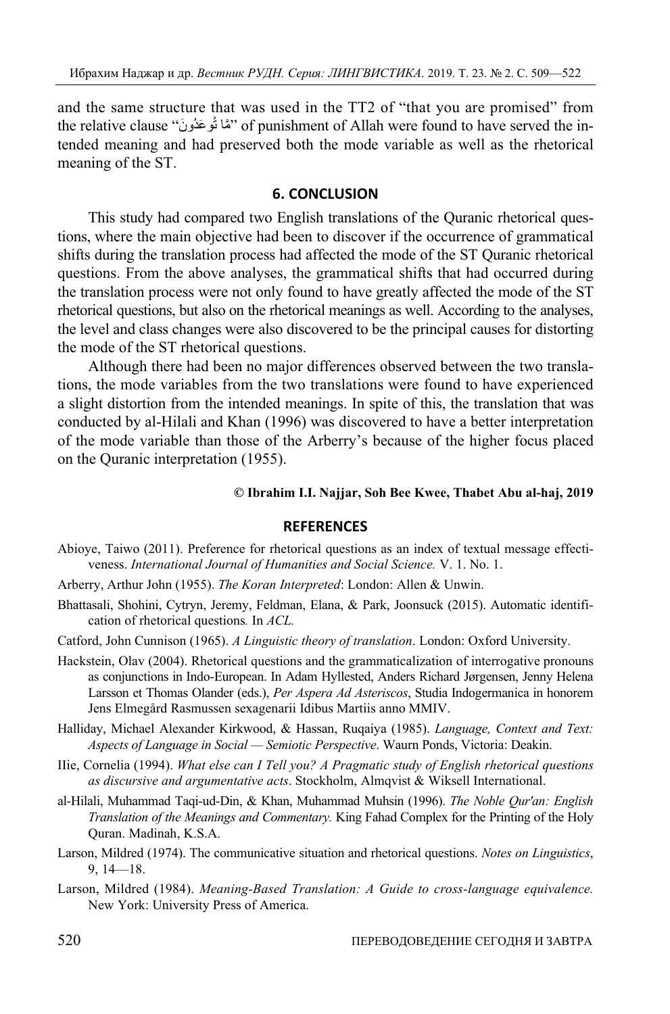and the same structure that was used in the TT2 of "that you are promised" from the relative clause ''ثَمَّا تُوعَدُونَ'' of punishment of Allah were found to have served the intended meaning and had preserved both the mode variable as well as the rhetorical meaning of the ST.

## **6. CONCLUSION**

This study had compared two English translations of the Quranic rhetorical questions, where the main objective had been to discover if the occurrence of grammatical shifts during the translation process had affected the mode of the ST Quranic rhetorical questions. From the above analyses, the grammatical shifts that had occurred during the translation process were not only found to have greatly affected the mode of the ST rhetorical questions, but also on the rhetorical meanings as well. According to the analyses, the level and class changes were also discovered to be the principal causes for distorting the mode of the ST rhetorical questions.

Although there had been no major differences observed between the two translations, the mode variables from the two translations were found to have experienced a slight distortion from the intended meanings. In spite of this, the translation that was conducted by al-Hilali and Khan (1996) was discovered to have a better interpretation of the mode variable than those of the Arberry's because of the higher focus placed on the Quranic interpretation (1955).

#### **© Ibrahim I.I. Najjar, Soh Bee Kwee, Thabet Abu al-haj, 2019**

#### **REFERENCES**

- Abioye, Taiwo (2011). Preference for rhetorical questions as an index of textual message effectiveness. *International Journal of Humanities and Social Science.* V. 1. No. 1.
- Arberry, Arthur John (1955). *The Koran Interpreted*: London: Allen & Unwin.
- Bhattasali, Shohini, Cytryn, Jeremy, Feldman, Elana, & Park, Joonsuck (2015). Automatic identification of rhetorical questions*.* In *ACL.*
- Catford, John Cunnison (1965). *A Linguistic theory of translation*. London: Oxford University.
- Hackstein, Olav (2004). Rhetorical questions and the grammaticalization of interrogative pronouns as conjunctions in Indo-European. In Adam Hyllested, Anders Richard Jørgensen, Jenny Helena Larsson et Thomas Olander (eds.), *Per Aspera Ad Asteriscos*, Studia Indogermanica in honorem Jens Elmegård Rasmussen sexagenarii Idibus Martiis anno MMIV.
- Halliday, Michael Alexander Kirkwood, & Hassan, Ruqaiya (1985). *Language, Context and Text: Aspects of Language in Social — Semiotic Perspective*. Waurn Ponds, Victoria: Deakin.
- IIie, Cornelia (1994). *What else can I Tell you? A Pragmatic study of English rhetorical questions as discursive and argumentative acts*. Stockholm, Almqvist & Wiksell International.
- al-Hilali, Muhammad Taqi-ud-Din, & Khan, Muhammad Muhsin (1996). *The Noble Qur'an: English Translation of the Meanings and Commentary.* King Fahad Complex for the Printing of the Holy Quran. Madinah, K.S.A.
- Larson, Mildred (1974). The communicative situation and rhetorical questions. *Notes on Linguistics*, 9, 14—18.
- Larson, Mildred (1984). *Meaning-Based Translation: A Guide to cross-language equivalence.* New York: University Press of America.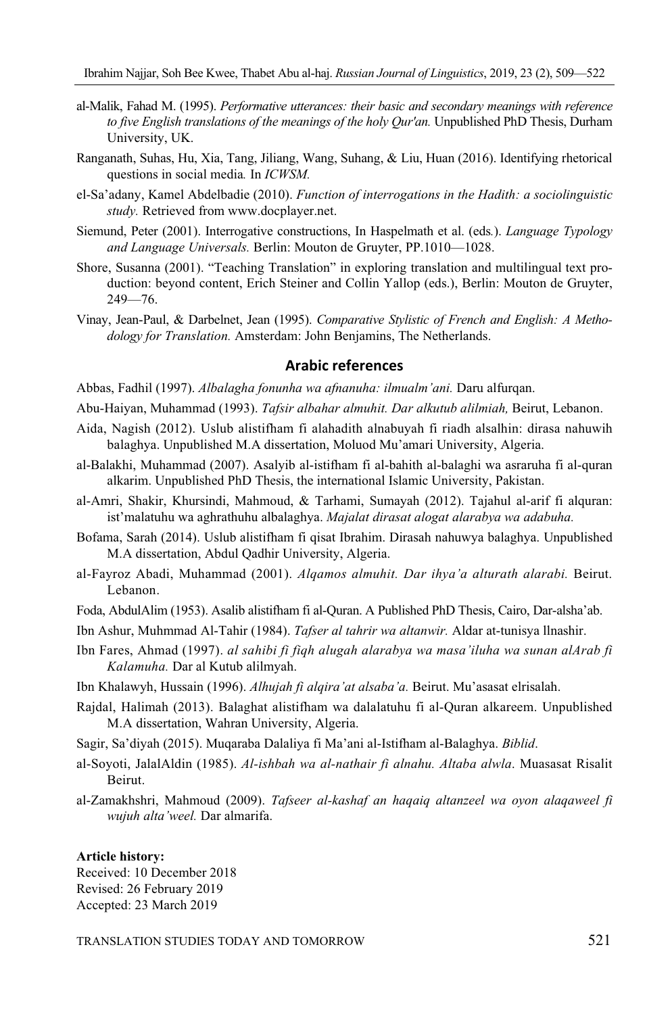- al-Malik, Fahad M. (1995). *Performative utterances: their basic and secondary meanings with reference to five English translations of the meanings of the holy Qur'an.* Unpublished PhD Thesis, Durham University, UK.
- Ranganath, Suhas, Hu, Xia, Tang, Jiliang, Wang, Suhang, & Liu, Huan (2016). Identifying rhetorical questions in social media*.* In *ICWSM.*
- el-Sa'adany, Kamel Abdelbadie (2010). *Function of interrogations in the Hadith: a sociolinguistic study.* Retrieved from www.docplayer.net.
- Siemund, Peter (2001). Interrogative constructions, In Haspelmath et al. (eds*.*). *Language Typology and Language Universals.* Berlin: Mouton de Gruyter, PP.1010—1028.
- Shore, Susanna (2001). "Teaching Translation" in exploring translation and multilingual text production: beyond content, Erich Steiner and Collin Yallop (eds.), Berlin: Mouton de Gruyter, 249—76.
- Vinay, Jean-Paul, & Darbelnet, Jean (1995). *Comparative Stylistic of French and English: A Methodology for Translation.* Amsterdam: John Benjamins, The Netherlands.

## **Arabic references**

Abbas, Fadhil (1997). *Albalagha fonunha wa afnanuha: ilmualm'ani.* Daru alfurqan.

Abu-Haiyan, Muhammad (1993). *Tafsir albahar almuhit. Dar alkutub alilmiah,* Beirut, Lebanon.

- Aida, Nagish (2012). Uslub alistifham fi alahadith alnabuyah fi riadh alsalhin: dirasa nahuwih balaghya. Unpublished M.A dissertation, Moluod Mu'amari University, Algeria.
- al-Balakhi, Muhammad (2007). Asalyib al-istifham fi al-bahith al-balaghi wa asraruha fi al-quran alkarim. Unpublished PhD Thesis, the international Islamic University, Pakistan.
- al-Amri, Shakir, Khursindi, Mahmoud, & Tarhami, Sumayah (2012). Tajahul al-arif fi alquran: ist'malatuhu wa aghrathuhu albalaghya. *Majalat dirasat alogat alarabya wa adabuha.*
- Bofama, Sarah (2014). Uslub alistifham fi qisat Ibrahim. Dirasah nahuwya balaghya. Unpublished M.A dissertation, Abdul Qadhir University, Algeria.
- al-Fayroz Abadi, Muhammad (2001). *Alqamos almuhit. Dar ihya'a alturath alarabi.* Beirut. Lebanon.
- Foda, AbdulAlim (1953). Asalib alistifham fi al-Quran. A Published PhD Thesis, Cairo, Dar-alsha'ab.
- Ibn Ashur, Muhmmad Al-Tahir (1984). *Tafser al tahrir wa altanwir.* Aldar at-tunisya llnashir.
- Ibn Fares, Ahmad (1997). *al sahibi fi fiqh alugah alarabya wa masa'iluha wa sunan alArab fi Kalamuha.* Dar al Kutub alilmyah.
- Ibn Khalawyh, Hussain (1996). *Alhujah fi alqira'at alsaba'a.* Beirut. Mu'asasat elrisalah.
- Rajdal, Halimah (2013). Balaghat alistifham wa dalalatuhu fi al-Quran alkareem. Unpublished M.A dissertation, Wahran University, Algeria.
- Sagir, Sa'diyah (2015). Muqaraba Dalaliya fi Ma'ani al-Istifham al-Balaghya. *Biblid*.
- al-Soyoti, JalalAldin (1985). *Al-ishbah wa al-nathair fi alnahu. Altaba alwla*. Muasasat Risalit Beirut.
- al-Zamakhshri, Mahmoud (2009). *Tafseer al-kashaf an haqaiq altanzeel wa oyon alaqaweel fi wujuh alta'weel.* Dar almarifa.

#### **Article history:**

Received: 10 December 2018 Revised: 26 February 2019 Accepted: 23 March 2019